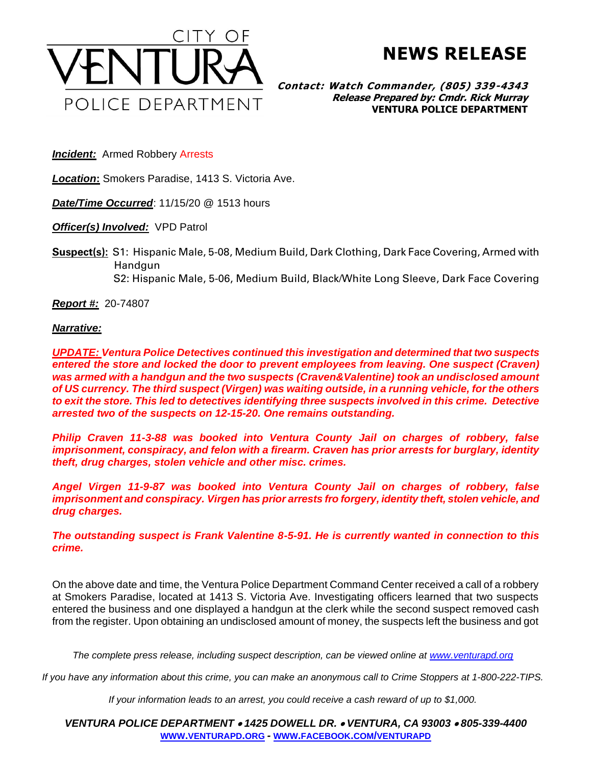

**NEWS RELEASE**

**Contact: Watch Commander, (805) 339-4343 Release Prepared by: Cmdr. Rick Murray VENTURA POLICE DEPARTMENT**

**Incident:** Armed Robbery Arrests

*Location***:** Smokers Paradise, 1413 S. Victoria Ave.

*Date/Time Occurred*: 11/15/20 @ 1513 hours

*Officer(s) Involved:* VPD Patrol

**Suspect(s):** S1: Hispanic Male, 5-08, Medium Build, Dark Clothing, Dark Face Covering, Armed with Handgun

S2: Hispanic Male, 5-06, Medium Build, Black/White Long Sleeve, Dark Face Covering

*Report #:* 20-74807

*Narrative:* 

*UPDATE: Ventura Police Detectives continued this investigation and determined that two suspects entered the store and locked the door to prevent employees from leaving. One suspect (Craven) was armed with a handgun and the two suspects (Craven&Valentine) took an undisclosed amount of US currency. The third suspect (Virgen) was waiting outside, in a running vehicle, for the others to exit the store. This led to detectives identifying three suspects involved in this crime. Detective arrested two of the suspects on 12-15-20. One remains outstanding.*

*Philip Craven 11-3-88 was booked into Ventura County Jail on charges of robbery, false imprisonment, conspiracy, and felon with a firearm. Craven has prior arrests for burglary, identity theft, drug charges, stolen vehicle and other misc. crimes.*

*Angel Virgen 11-9-87 was booked into Ventura County Jail on charges of robbery, false imprisonment and conspiracy. Virgen has prior arrests fro forgery, identity theft, stolen vehicle, and drug charges.*

*The outstanding suspect is Frank Valentine 8-5-91. He is currently wanted in connection to this crime.*

On the above date and time, the Ventura Police Department Command Center received a call of a robbery at Smokers Paradise, located at 1413 S. Victoria Ave. Investigating officers learned that two suspects entered the business and one displayed a handgun at the clerk while the second suspect removed cash from the register. Upon obtaining an undisclosed amount of money, the suspects left the business and got

*The complete press release, including suspect description, can be viewed online at [www.venturapd.org](http://www.venturapd.org/)*

*If you have any information about this crime, you can make an anonymous call to Crime Stoppers at 1-800-222-TIPS.*

*If your information leads to an arrest, you could receive a cash reward of up to \$1,000.*

*VENTURA POLICE DEPARTMENT* • *1425 DOWELL DR.* • *VENTURA, CA 93003* • *805-339-4400* **WWW.[VENTURAPD](http://www.venturapd.org/).ORG** *-* **WWW.FACEBOOK.COM/[VENTURAPD](http://www.facebook.com/venturapd)**